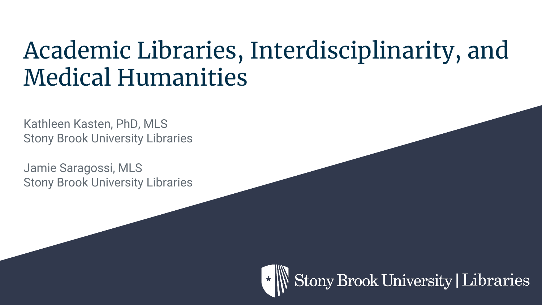# Academic Libraries, Interdisciplinarity, and Medical Humanities

Kathleen Kasten, PhD, MLS Stony Brook University Libraries

Jamie Saragossi, MLS Stony Brook University Libraries

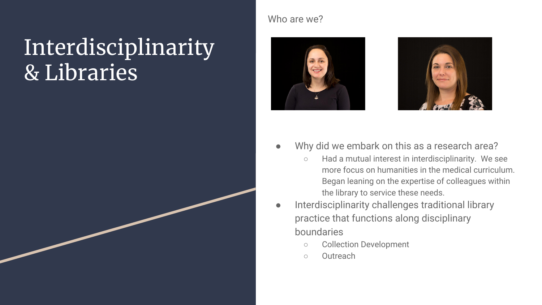## Interdisciplinarity & Libraries

#### Who are we?





- Why did we embark on this as a research area?
	- Had a mutual interest in interdisciplinarity. We see more focus on humanities in the medical curriculum. Began leaning on the expertise of colleagues within the library to service these needs.
- Interdisciplinarity challenges traditional library practice that functions along disciplinary boundaries
	- Collection Development
	- Outreach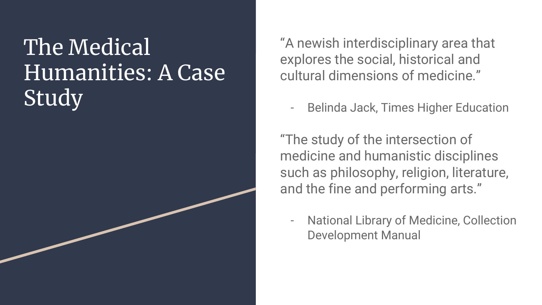# The Medical Humanities: A Case **Study**

"A newish interdisciplinary area that explores the social, historical and cultural dimensions of medicine."

- Belinda Jack, Times Higher Education

"The study of the intersection of medicine and humanistic disciplines such as philosophy, religion, literature, and the fine and performing arts."

- National Library of Medicine, Collection Development Manual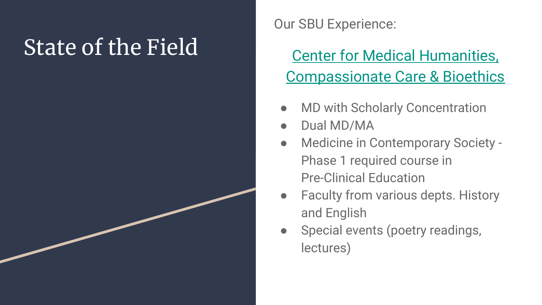# State of the Field

Our SBU Experience:

### [Center for Medical Humanities,](http://www.stonybrook.edu/bioethics/) [Compassionate Care & Bioethics](http://www.stonybrook.edu/bioethics/)

- **MD with Scholarly Concentration**
- Dual MD/MA
- Medicine in Contemporary Society -Phase 1 required course in Pre-Clinical Education
- Faculty from various depts. History and English
- Special events (poetry readings, lectures)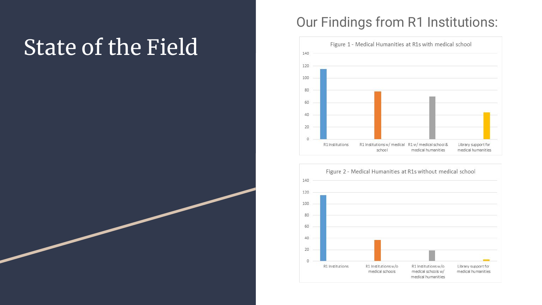# State of the Field

### Our Findings from R1 Institutions:



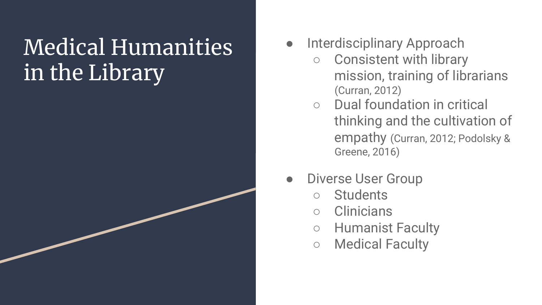## Medical Humanities in the Library

- Interdisciplinary Approach
	- Consistent with library mission, training of librarians (Curran, 2012)
	- Dual foundation in critical thinking and the cultivation of empathy (Curran, 2012; Podolsky & Greene, 2016)
- Diverse User Group
	- Students
	- Clinicians
	- Humanist Faculty
	- Medical Faculty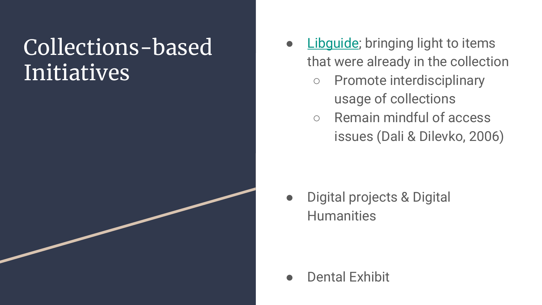## Collections-based Initiatives

- [Libguide;](http://guides.library.stonybrook.edu/medical-humanities/home) bringing light to items that were already in the collection
	- Promote interdisciplinary usage of collections
	- Remain mindful of access issues (Dali & Dilevko, 2006)

● Digital projects & Digital **Humanities** 

Dental Exhibit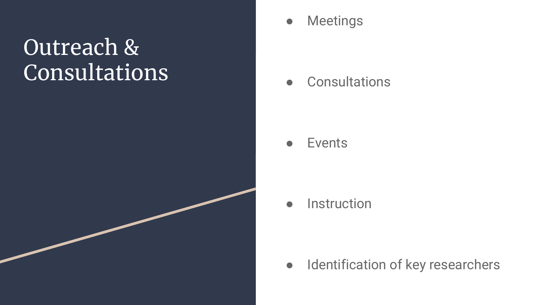## Outreach & Consultations



● Consultations

#### ● Events

● Instruction

● Identification of key researchers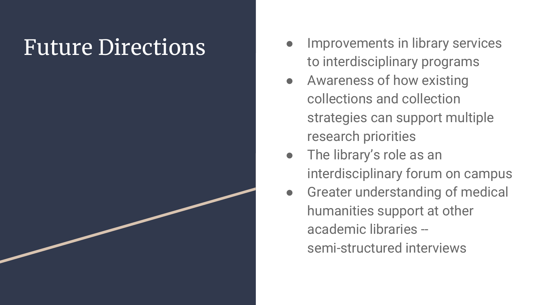- Future Directions Improvements in library services to interdisciplinary programs
	- Awareness of how existing collections and collection strategies can support multiple research priorities
	- The library's role as an interdisciplinary forum on campus
	- **•** Greater understanding of medical humanities support at other academic libraries - semi-structured interviews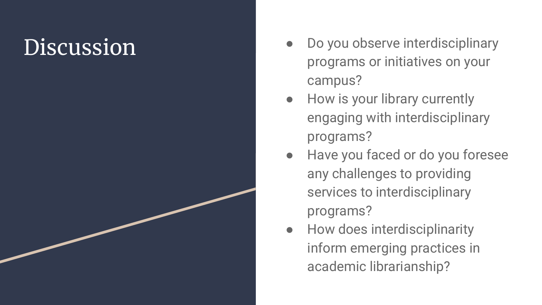# **Discussion**

- Do you observe interdisciplinary programs or initiatives on your campus?
- How is your library currently engaging with interdisciplinary programs?
- Have you faced or do you foresee any challenges to providing services to interdisciplinary programs?
- How does interdisciplinarity inform emerging practices in academic librarianship?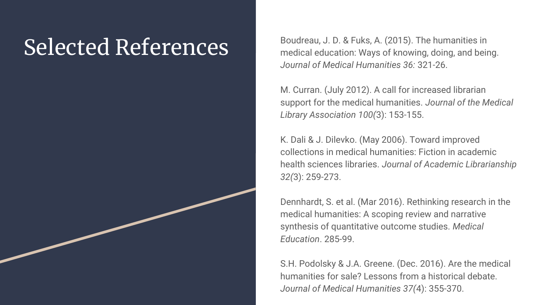Selected References<br>Boudreau, J. D. & Fuks, A. (2015). The humanities in medical education: Ways of knowing, doing, and being. *Journal of Medical Humanities 36:* 321-26.

> M. Curran. (July 2012). A call for increased librarian support for the medical humanities. *Journal of the Medical Library Association 100(*3): 153-155.

[K. Dali & J. Dilevko. \(May 2006\). Toward improved](http://proxy.library.stonybrook.edu/login?url=http://search.ebscohost.com/login.aspx?direct=true&db=a9h&AN=21400139&site=eds-live&scope=site)  [collections in medical humanities: Fiction in academic](http://proxy.library.stonybrook.edu/login?url=http://search.ebscohost.com/login.aspx?direct=true&db=a9h&AN=21400139&site=eds-live&scope=site)  health sciences libraries. *[Journal of Academic Librarianship](http://proxy.library.stonybrook.edu/login?url=http://search.ebscohost.com/login.aspx?direct=true&db=a9h&AN=21400139&site=eds-live&scope=site)  32(*[3\): 259-273.](http://proxy.library.stonybrook.edu/login?url=http://search.ebscohost.com/login.aspx?direct=true&db=a9h&AN=21400139&site=eds-live&scope=site)

Dennhardt, S. et al. (Mar 2016). Rethinking research in the medical humanities: A scoping review and narrative synthesis of quantitative outcome studies. *Medical Education*. 285-99.

[S.H. Podolsky & J.A. Greene. \(Dec. 2016\). Are the medical](http://proxy.library.stonybrook.edu/login?url=http://search.ebscohost.com/login.aspx?direct=true&db=edselc&AN=edselc.2-52.0-84905293550&site=eds-live&scope=site)  [humanities for sale? Lessons from a historical debate.](http://proxy.library.stonybrook.edu/login?url=http://search.ebscohost.com/login.aspx?direct=true&db=edselc&AN=edselc.2-52.0-84905293550&site=eds-live&scope=site)  *[Journal of Medical Humanities 37\(](http://proxy.library.stonybrook.edu/login?url=http://search.ebscohost.com/login.aspx?direct=true&db=edselc&AN=edselc.2-52.0-84905293550&site=eds-live&scope=site)*4): 355-370.